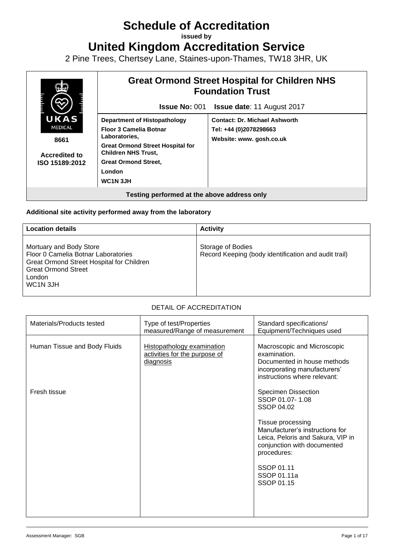# **Schedule of Accreditation**

**issued by**

**United Kingdom Accreditation Service**

2 Pine Trees, Chertsey Lane, Staines-upon-Thames, TW18 3HR, UK



#### **Additional site activity performed away from the laboratory**

| <b>Location details</b>                                                                                                                                                      | <b>Activity</b>                                                           |
|------------------------------------------------------------------------------------------------------------------------------------------------------------------------------|---------------------------------------------------------------------------|
| Mortuary and Body Store<br>Floor 0 Camelia Botnar Laboratories<br>Great Ormond Street Hospital for Children<br><b>Great Ormond Street</b><br>London<br>WC <sub>1</sub> N 3JH | Storage of Bodies<br>Record Keeping (body identification and audit trail) |

#### DETAIL OF ACCREDITATION

| Materials/Products tested    | Type of test/Properties<br>measured/Range of measurement                 | Standard specifications/<br>Equipment/Techniques used                                                                                                                                                                                             |
|------------------------------|--------------------------------------------------------------------------|---------------------------------------------------------------------------------------------------------------------------------------------------------------------------------------------------------------------------------------------------|
| Human Tissue and Body Fluids | Histopathology examination<br>activities for the purpose of<br>diagnosis | Macroscopic and Microscopic<br>examination.<br>Documented in house methods<br>incorporating manufacturers'<br>instructions where relevant:                                                                                                        |
| Fresh tissue                 |                                                                          | <b>Specimen Dissection</b><br>SSOP 01.07-1.08<br>SSOP 04.02<br>Tissue processing<br>Manufacturer's instructions for<br>Leica, Peloris and Sakura, VIP in<br>conjunction with documented<br>procedures:<br>SSOP 01.11<br>SSOP 01.11a<br>SSOP 01.15 |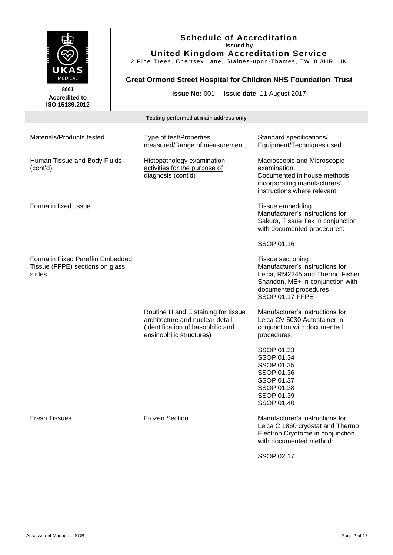

2 Pine Trees, Chertsey Lane, Staines -upon-Thames, TW18 3HR, UK

## **Great Ormond Street Hospital for Children NHS Foundation Trust**

**Issue No:** 001 **Issue date**: 11 August 2017

**Testing performed at main address only**

| Materials/Products tested                                                     | Type of test/Properties<br>measured/Range of measurement                                                                                | Standard specifications/<br>Equipment/Techniques used                                                                                                                          |
|-------------------------------------------------------------------------------|-----------------------------------------------------------------------------------------------------------------------------------------|--------------------------------------------------------------------------------------------------------------------------------------------------------------------------------|
| Human Tissue and Body Fluids<br>(cont'd)                                      | Histopathology examination<br>activities for the purpose of<br>diagnosis (cont'd)                                                       | Macroscopic and Microscopic<br>examination.<br>Documented in house methods<br>incorporating manufacturers'<br>instructions where relevant:                                     |
| Formalin fixed tissue                                                         |                                                                                                                                         | Tissue embedding<br>Manufacturer's instructions for<br>Sakura, Tissue Tek in conjunction<br>with documented procedures:                                                        |
|                                                                               |                                                                                                                                         | SSOP 01.16                                                                                                                                                                     |
| Formalin Fixed Paraffin Embedded<br>Tissue (FFPE) sections on glass<br>slides |                                                                                                                                         | Tissue sectioning<br>Manufacturer's instructions for<br>Leica, RM2245 and Thermo Fisher<br>Shandon, ME+ in conjunction with<br>documented procedures<br><b>SSOP 01.17-FFPE</b> |
|                                                                               | Routine H and E staining for tissue<br>architecture and nuclear detail<br>(identification of basophilic and<br>eosinophilic structures) | Manufacturer's instructions for<br>Leica CV 5030 Autostainer in<br>conjunction with documented<br>procedures:                                                                  |
|                                                                               |                                                                                                                                         | SSOP 01.33<br>SSOP 01.34<br>SSOP 01.35<br>SSOP 01.36<br>SSOP 01.37<br>SSOP 01.38<br>SSOP 01.39<br>SSOP 01.40                                                                   |
| <b>Fresh Tissues</b>                                                          | <b>Frozen Section</b>                                                                                                                   | Manufacturer's instructions for<br>Leica C 1860 cryostat and Thermo<br>Electron Cryotome in conjunction<br>with documented method:                                             |
|                                                                               |                                                                                                                                         | SSOP 02.17                                                                                                                                                                     |
|                                                                               |                                                                                                                                         |                                                                                                                                                                                |
|                                                                               |                                                                                                                                         |                                                                                                                                                                                |

**8661 Accredited to ISO 15189:2012**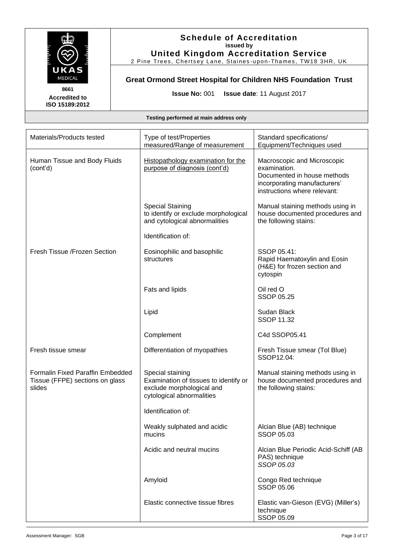

## **Schedule of Accreditation issued by United Kingdom Accreditation Service**

2 Pine Trees, Chertsey Lane, Staines -upon-Thames, TW18 3HR, UK

## **Great Ormond Street Hospital for Children NHS Foundation Trust**

**Issue No:** 001 **Issue date**: 11 August 2017

| Materials/Products tested                                                     | Type of test/Properties<br>measured/Range of measurement                                                            | Standard specifications/<br>Equipment/Techniques used                                                                                      |
|-------------------------------------------------------------------------------|---------------------------------------------------------------------------------------------------------------------|--------------------------------------------------------------------------------------------------------------------------------------------|
| Human Tissue and Body Fluids<br>(cont'd)                                      | Histopathology examination for the<br>purpose of diagnosis (cont'd)                                                 | Macroscopic and Microscopic<br>examination.<br>Documented in house methods<br>incorporating manufacturers'<br>instructions where relevant: |
|                                                                               | <b>Special Staining</b><br>to identify or exclude morphological<br>and cytological abnormalities                    | Manual staining methods using in<br>house documented procedures and<br>the following stains:                                               |
|                                                                               | Identification of:                                                                                                  |                                                                                                                                            |
| Fresh Tissue /Frozen Section                                                  | Eosinophilic and basophilic<br>structures                                                                           | SSOP 05.41:<br>Rapid Haematoxylin and Eosin<br>(H&E) for frozen section and<br>cytospin                                                    |
|                                                                               | Fats and lipids                                                                                                     | Oil red O<br><b>SSOP 05.25</b>                                                                                                             |
|                                                                               | Lipid                                                                                                               | Sudan Black<br><b>SSOP 11.32</b>                                                                                                           |
|                                                                               | Complement                                                                                                          | C4d SSOP05.41                                                                                                                              |
| Fresh tissue smear                                                            | Differentiation of myopathies                                                                                       | Fresh Tissue smear (Tol Blue)<br>SSOP12.04:                                                                                                |
| Formalin Fixed Paraffin Embedded<br>Tissue (FFPE) sections on glass<br>slides | Special staining<br>Examination of tissues to identify or<br>exclude morphological and<br>cytological abnormalities | Manual staining methods using in<br>house documented procedures and<br>the following stains:                                               |
|                                                                               | Identification of:                                                                                                  |                                                                                                                                            |
|                                                                               | Weakly sulphated and acidic<br>mucins                                                                               | Alcian Blue (AB) technique<br>SSOP 05.03                                                                                                   |
|                                                                               | Acidic and neutral mucins                                                                                           | Alcian Blue Periodic Acid-Schiff (AB<br>PAS) technique<br>SSOP 05.03                                                                       |
|                                                                               | Amyloid                                                                                                             | Congo Red technique<br><b>SSOP 05.06</b>                                                                                                   |
|                                                                               | Elastic connective tissue fibres                                                                                    | Elastic van-Gieson (EVG) (Miller's)<br>technique<br>SSOP 05.09                                                                             |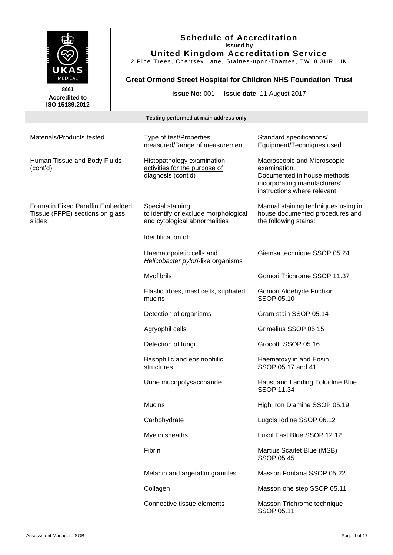

2 Pine Trees, Chertsey Lane, Staines -upon-Thames, TW18 3HR, UK

## **Great Ormond Street Hospital for Children NHS Foundation Trust**

**Issue No:** 001 **Issue date**: 11 August 2017

**Accredited to ISO 15189:2012** 

| Materials/Products tested                                                     | Type of test/Properties<br>measured/Range of measurement                                  | Standard specifications/<br>Equipment/Techniques used                                                                                      |
|-------------------------------------------------------------------------------|-------------------------------------------------------------------------------------------|--------------------------------------------------------------------------------------------------------------------------------------------|
| Human Tissue and Body Fluids<br>(cont'd)                                      | <b>Histopathology examination</b><br>activities for the purpose of<br>diagnosis (cont'd)  | Macroscopic and Microscopic<br>examination.<br>Documented in house methods<br>incorporating manufacturers'<br>instructions where relevant: |
| Formalin Fixed Paraffin Embedded<br>Tissue (FFPE) sections on glass<br>slides | Special staining<br>to identify or exclude morphological<br>and cytological abnormalities | Manual staining techniques using in<br>house documented procedures and<br>the following stains:                                            |
|                                                                               | Identification of:                                                                        |                                                                                                                                            |
|                                                                               | Haematopoietic cells and<br>Helicobacter pylori-like organisms                            | Giemsa technique SSOP 05.24                                                                                                                |
|                                                                               | Myofibrils                                                                                | Gomori Trichrome SSOP 11.37                                                                                                                |
|                                                                               | Elastic fibres, mast cells, suphated<br>mucins                                            | Gomori Aldehyde Fuchsin<br>SSOP 05.10                                                                                                      |
|                                                                               | Detection of organisms                                                                    | Gram stain SSOP 05.14                                                                                                                      |
|                                                                               | Agryophil cells                                                                           | Grimelius SSOP 05.15                                                                                                                       |
|                                                                               | Detection of fungi                                                                        | Grocott SSOP 05.16                                                                                                                         |
|                                                                               | Basophilic and eosinophilic<br>structures                                                 | Haematoxylin and Eosin<br>SSOP 05.17 and 41                                                                                                |
|                                                                               | Urine mucopolysaccharide                                                                  | Haust and Landing Toluidine Blue<br><b>SSOP 11.34</b>                                                                                      |
|                                                                               | <b>Mucins</b>                                                                             | High Iron Diamine SSOP 05.19                                                                                                               |
|                                                                               | Carbohydrate                                                                              | Lugols Iodine SSOP 06.12                                                                                                                   |
|                                                                               | Myelin sheaths                                                                            | Luxol Fast Blue SSOP 12.12                                                                                                                 |
|                                                                               | Fibrin                                                                                    | Martius Scarlet Blue (MSB)<br><b>SSOP 05.45</b>                                                                                            |
|                                                                               | Melanin and argetaffin granules                                                           | Masson Fontana SSOP 05.22                                                                                                                  |
|                                                                               | Collagen                                                                                  | Masson one step SSOP 05.11                                                                                                                 |
|                                                                               | Connective tissue elements                                                                | Masson Trichrome technique<br>SSOP 05.11                                                                                                   |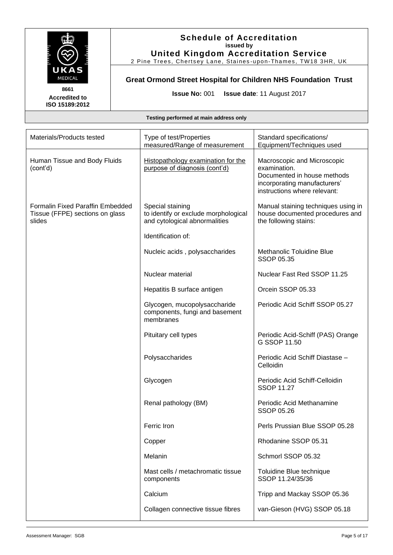

## **Schedule of Accreditation issued by United Kingdom Accreditation Service**

2 Pine Trees, Chertsey Lane, Staines -upon-Thames, TW18 3HR, UK

## **Great Ormond Street Hospital for Children NHS Foundation Trust**

**Issue No:** 001 **Issue date**: 11 August 2017

| Materials/Products tested                                                     | Type of test/Properties<br>measured/Range of measurement                                  | Standard specifications/<br>Equipment/Techniques used                                                                                      |
|-------------------------------------------------------------------------------|-------------------------------------------------------------------------------------------|--------------------------------------------------------------------------------------------------------------------------------------------|
| Human Tissue and Body Fluids<br>(cont'd)                                      | Histopathology examination for the<br>purpose of diagnosis (cont'd)                       | Macroscopic and Microscopic<br>examination.<br>Documented in house methods<br>incorporating manufacturers'<br>instructions where relevant: |
| Formalin Fixed Paraffin Embedded<br>Tissue (FFPE) sections on glass<br>slides | Special staining<br>to identify or exclude morphological<br>and cytological abnormalities | Manual staining techniques using in<br>house documented procedures and<br>the following stains:                                            |
|                                                                               | Identification of:                                                                        |                                                                                                                                            |
|                                                                               | Nucleic acids, polysaccharides                                                            | Methanolic Toluidine Blue<br>SSOP 05.35                                                                                                    |
|                                                                               | Nuclear material                                                                          | Nuclear Fast Red SSOP 11.25                                                                                                                |
|                                                                               | Hepatitis B surface antigen                                                               | Orcein SSOP 05.33                                                                                                                          |
|                                                                               | Glycogen, mucopolysaccharide<br>components, fungi and basement<br>membranes               | Periodic Acid Schiff SSOP 05.27                                                                                                            |
|                                                                               | Pituitary cell types                                                                      | Periodic Acid-Schiff (PAS) Orange<br>G SSOP 11.50                                                                                          |
|                                                                               | Polysaccharides                                                                           | Periodic Acid Schiff Diastase -<br>Celloidin                                                                                               |
|                                                                               | Glycogen                                                                                  | Periodic Acid Schiff-Celloidin<br><b>SSOP 11.27</b>                                                                                        |
|                                                                               | Renal pathology (BM)                                                                      | Periodic Acid Methanamine<br><b>SSOP 05.26</b>                                                                                             |
|                                                                               | Ferric Iron                                                                               | Perls Prussian Blue SSOP 05.28                                                                                                             |
|                                                                               | Copper                                                                                    | Rhodanine SSOP 05.31                                                                                                                       |
|                                                                               | Melanin                                                                                   | Schmorl SSOP 05.32                                                                                                                         |
|                                                                               | Mast cells / metachromatic tissue<br>components                                           | Toluidine Blue technique<br>SSOP 11.24/35/36                                                                                               |
|                                                                               | Calcium                                                                                   | Tripp and Mackay SSOP 05.36                                                                                                                |
|                                                                               | Collagen connective tissue fibres                                                         | van-Gieson (HVG) SSOP 05.18                                                                                                                |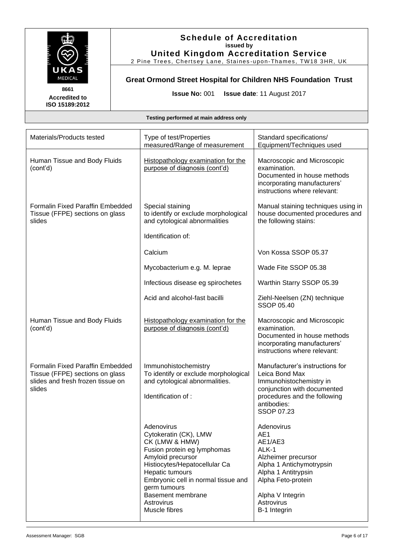

2 Pine Trees, Chertsey Lane, Staines -upon-Thames, TW18 3HR, UK

**Great Ormond Street Hospital for Children NHS Foundation Trust**

**Issue No:** 001 **Issue date**: 11 August 2017

**8661 Accredited to ISO 15189:2012** 

| Materials/Products tested                                                                                                 | Type of test/Properties<br>measured/Range of measurement                                                                                                                                                                                                                 | Standard specifications/<br>Equipment/Techniques used                                                                                                                                   |
|---------------------------------------------------------------------------------------------------------------------------|--------------------------------------------------------------------------------------------------------------------------------------------------------------------------------------------------------------------------------------------------------------------------|-----------------------------------------------------------------------------------------------------------------------------------------------------------------------------------------|
| Human Tissue and Body Fluids<br>(cont'd)                                                                                  | Histopathology examination for the<br>purpose of diagnosis (cont'd)                                                                                                                                                                                                      | Macroscopic and Microscopic<br>examination.<br>Documented in house methods<br>incorporating manufacturers'<br>instructions where relevant:                                              |
| <b>Formalin Fixed Paraffin Embedded</b><br>Tissue (FFPE) sections on glass<br>slides                                      | Special staining<br>to identify or exclude morphological<br>and cytological abnormalities                                                                                                                                                                                | Manual staining techniques using in<br>house documented procedures and<br>the following stains:                                                                                         |
|                                                                                                                           | Identification of:                                                                                                                                                                                                                                                       |                                                                                                                                                                                         |
|                                                                                                                           | Calcium                                                                                                                                                                                                                                                                  | Von Kossa SSOP 05.37                                                                                                                                                                    |
|                                                                                                                           | Mycobacterium e.g. M. leprae                                                                                                                                                                                                                                             | Wade Fite SSOP 05.38                                                                                                                                                                    |
|                                                                                                                           | Infectious disease eg spirochetes                                                                                                                                                                                                                                        | Warthin Starry SSOP 05.39                                                                                                                                                               |
|                                                                                                                           | Acid and alcohol-fast bacilli                                                                                                                                                                                                                                            | Ziehl-Neelsen (ZN) technique<br><b>SSOP 05.40</b>                                                                                                                                       |
| Human Tissue and Body Fluids<br>(cont'd)                                                                                  | Histopathology examination for the<br>purpose of diagnosis (cont'd)                                                                                                                                                                                                      | Macroscopic and Microscopic<br>examination.<br>Documented in house methods<br>incorporating manufacturers'<br>instructions where relevant:                                              |
| <b>Formalin Fixed Paraffin Embedded</b><br>Tissue (FFPE) sections on glass<br>slides and fresh frozen tissue on<br>slides | Immunohistochemistry<br>To identify or exclude morphological<br>and cytological abnormalities.<br>Identification of :                                                                                                                                                    | Manufacturer's instructions for<br>Leica Bond Max<br>Immunohistochemistry in<br>conjunction with documented<br>procedures and the following<br>antibodies:<br><b>SSOP 07.23</b>         |
|                                                                                                                           | Adenovirus<br>Cytokeratin (CK), LMW<br>CK (LMW & HMW)<br>Fusion protein eg lymphomas<br>Amyloid precursor<br>Histiocytes/Hepatocellular Ca<br>Hepatic tumours<br>Embryonic cell in normal tissue and<br>germ tumours<br>Basement membrane<br>Astrovirus<br>Muscle fibres | Adenovirus<br>AE1<br>AE1/AE3<br>ALK-1<br>Alzheimer precursor<br>Alpha 1 Antichymotrypsin<br>Alpha 1 Antitrypsin<br>Alpha Feto-protein<br>Alpha V Integrin<br>Astrovirus<br>B-1 Integrin |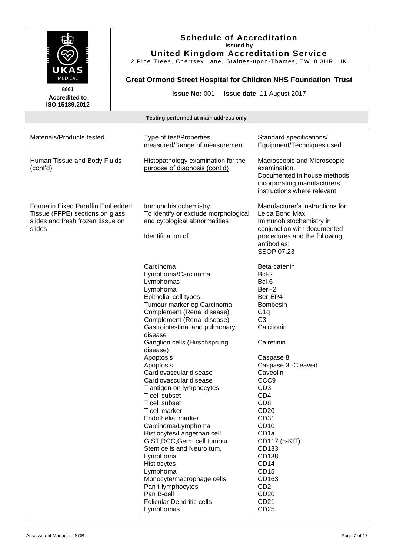

## **Schedule of Accreditation issued by United Kingdom Accreditation Service**

2 Pine Trees, Chertsey Lane, Staines -upon-Thames, TW18 3HR, UK

## **Great Ormond Street Hospital for Children NHS Foundation Trust**

**Issue No:** 001 **Issue date**: 11 August 2017

| Materials/Products tested                                                                                          | Type of test/Properties<br>measured/Range of measurement                                                                                                                                                                                                                                                                                                                                                                                                                                                                                                                                                                                                                                                                        | Standard specifications/<br>Equipment/Techniques used                                                                                                                                                                                                                                                                                                                                                                              |
|--------------------------------------------------------------------------------------------------------------------|---------------------------------------------------------------------------------------------------------------------------------------------------------------------------------------------------------------------------------------------------------------------------------------------------------------------------------------------------------------------------------------------------------------------------------------------------------------------------------------------------------------------------------------------------------------------------------------------------------------------------------------------------------------------------------------------------------------------------------|------------------------------------------------------------------------------------------------------------------------------------------------------------------------------------------------------------------------------------------------------------------------------------------------------------------------------------------------------------------------------------------------------------------------------------|
| Human Tissue and Body Fluids<br>(cont'd)                                                                           | Histopathology examination for the<br>purpose of diagnosis (cont'd)                                                                                                                                                                                                                                                                                                                                                                                                                                                                                                                                                                                                                                                             | Macroscopic and Microscopic<br>examination.<br>Documented in house methods<br>incorporating manufacturers'<br>instructions where relevant:                                                                                                                                                                                                                                                                                         |
| Formalin Fixed Paraffin Embedded<br>Tissue (FFPE) sections on glass<br>slides and fresh frozen tissue on<br>slides | Immunohistochemistry<br>To identify or exclude morphological<br>and cytological abnormalities<br>Identification of :                                                                                                                                                                                                                                                                                                                                                                                                                                                                                                                                                                                                            | Manufacturer's instructions for<br>Leica Bond Max<br>Immunohistochemistry in<br>conjunction with documented<br>procedures and the following<br>antibodies:<br>SSOP 07.23                                                                                                                                                                                                                                                           |
|                                                                                                                    | Carcinoma<br>Lymphoma/Carcinoma<br>Lymphomas<br>Lymphoma<br>Epithelial cell types<br>Tumour marker eg Carcinoma<br>Complement (Renal disease)<br>Complement (Renal disease)<br>Gastrointestinal and pulmonary<br>disease<br>Ganglion cells (Hirschsprung<br>disease)<br>Apoptosis<br>Apoptosis<br>Cardiovascular disease<br>Cardiovascular disease<br>T antigen on lymphocytes<br>T cell subset<br>T cell subset<br>T cell marker<br>Endothelial marker<br>Carcinoma/Lymphoma<br>Histiocytes/Langerhan cell<br>GIST, RCC, Germ cell tumour<br>Stem cells and Neuro tum.<br>Lymphoma<br>Histiocytes<br>Lymphoma<br>Monocyte/macrophage cells<br>Pan t-lymphocytes<br>Pan B-cell<br><b>Folicular Dendritic cells</b><br>Lymphomas | Beta-catenin<br>Bcl-2<br>Bcl-6<br>Ber <sub>H2</sub><br>Ber-EP4<br>Bombesin<br>C1q<br>C <sub>3</sub><br>Calcitonin<br>Calretinin<br>Caspase 8<br>Caspase 3 - Cleaved<br>Caveolin<br>CCC <sub>9</sub><br>CD <sub>3</sub><br>CD <sub>4</sub><br>CD <sub>8</sub><br>CD20<br>CD31<br>CD10<br>CD <sub>1a</sub><br>CD117 (c-KIT)<br>CD133<br>CD138<br>CD <sub>14</sub><br><b>CD15</b><br>CD163<br>CD <sub>2</sub><br>CD20<br>CD21<br>CD25 |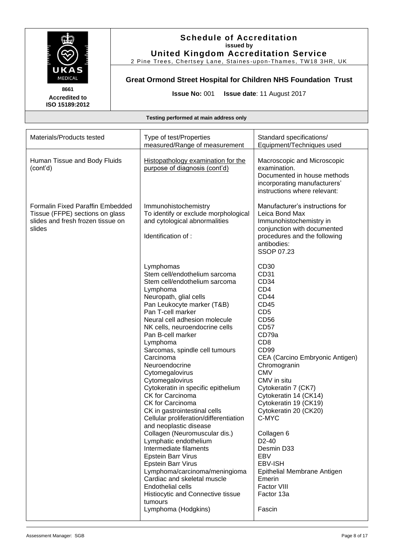

## **Schedule of Accreditation issued by United Kingdom Accreditation Service**

2 Pine Trees, Chertsey Lane, Staines -upon-Thames, TW18 3HR, UK

## **Great Ormond Street Hospital for Children NHS Foundation Trust**

**Issue No:** 001 **Issue date**: 11 August 2017

| Materials/Products tested                                                                                          | Type of test/Properties<br>measured/Range of measurement                                                                                                                                                                                                                                                                                                                                                                                                                                                                                                                                                                                                                                                                                                                                                                                                                    | Standard specifications/<br>Equipment/Techniques used                                                                                                                                                                                                                                                                                                                                                                                                                                                          |
|--------------------------------------------------------------------------------------------------------------------|-----------------------------------------------------------------------------------------------------------------------------------------------------------------------------------------------------------------------------------------------------------------------------------------------------------------------------------------------------------------------------------------------------------------------------------------------------------------------------------------------------------------------------------------------------------------------------------------------------------------------------------------------------------------------------------------------------------------------------------------------------------------------------------------------------------------------------------------------------------------------------|----------------------------------------------------------------------------------------------------------------------------------------------------------------------------------------------------------------------------------------------------------------------------------------------------------------------------------------------------------------------------------------------------------------------------------------------------------------------------------------------------------------|
| Human Tissue and Body Fluids<br>(cont'd)                                                                           | Histopathology examination for the<br>purpose of diagnosis (cont'd)                                                                                                                                                                                                                                                                                                                                                                                                                                                                                                                                                                                                                                                                                                                                                                                                         | Macroscopic and Microscopic<br>examination.<br>Documented in house methods<br>incorporating manufacturers'<br>instructions where relevant:                                                                                                                                                                                                                                                                                                                                                                     |
| Formalin Fixed Paraffin Embedded<br>Tissue (FFPE) sections on glass<br>slides and fresh frozen tissue on<br>slides | Immunohistochemistry<br>To identify or exclude morphological<br>and cytological abnormalities<br>Identification of :                                                                                                                                                                                                                                                                                                                                                                                                                                                                                                                                                                                                                                                                                                                                                        | Manufacturer's instructions for<br>Leica Bond Max<br>Immunohistochemistry in<br>conjunction with documented<br>procedures and the following<br>antibodies:<br><b>SSOP 07.23</b>                                                                                                                                                                                                                                                                                                                                |
|                                                                                                                    | Lymphomas<br>Stem cell/endothelium sarcoma<br>Stem cell/endothelium sarcoma<br>Lymphoma<br>Neuropath, glial cells<br>Pan Leukocyte marker (T&B)<br>Pan T-cell marker<br>Neural cell adhesion molecule<br>NK cells, neuroendocrine cells<br>Pan B-cell marker<br>Lymphoma<br>Sarcomas, spindle cell tumours<br>Carcinoma<br>Neuroendocrine<br>Cytomegalovirus<br>Cytomegalovirus<br>Cytokeratin in specific epithelium<br><b>CK for Carcinoma</b><br>CK for Carcinoma<br>CK in gastrointestinal cells<br>Cellular proliferation/differentiation<br>and neoplastic disease<br>Collagen (Neuromuscular dis.)<br>Lymphatic endothelium<br>Intermediate filaments<br>Epstein Barr Virus<br>Epstein Barr Virus<br>Lymphoma/carcinoma/meningioma<br>Cardiac and skeletal muscle<br><b>Endothelial cells</b><br>Histiocytic and Connective tissue<br>tumours<br>Lymphoma (Hodgkins) | CD30<br>CD31<br>CD34<br>CD <sub>4</sub><br><b>CD44</b><br>CD45<br>CD <sub>5</sub><br>CD56<br><b>CD57</b><br>CD79a<br>CD <sub>8</sub><br>CD <sub>99</sub><br>CEA (Carcino Embryonic Antigen)<br>Chromogranin<br><b>CMV</b><br>CMV in situ<br>Cytokeratin 7 (CK7)<br>Cytokeratin 14 (CK14)<br>Cytokeratin 19 (CK19)<br>Cytokeratin 20 (CK20)<br>C-MYC<br>Collagen 6<br>D <sub>2</sub> -40<br>Desmin D33<br>EBV<br><b>EBV-ISH</b><br>Epithelial Membrane Antigen<br>Emerin<br>Factor VIII<br>Factor 13a<br>Fascin |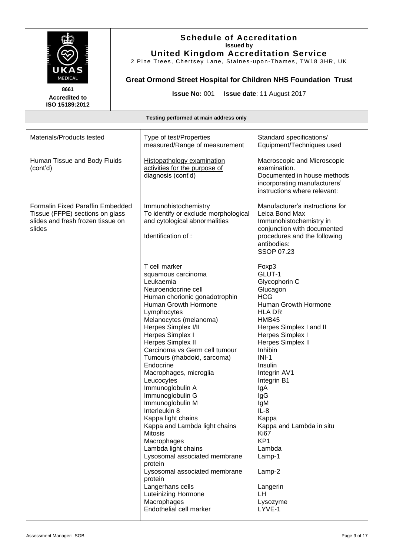

2 Pine Trees, Chertsey Lane, Staines -upon-Thames, TW18 3HR, UK

## **Great Ormond Street Hospital for Children NHS Foundation Trust**

**Issue No:** 001 **Issue date**: 11 August 2017

**Testing performed at main address only**

| Materials/Products tested                                                                                          | Type of test/Properties<br>measured/Range of measurement                                                                                                                                                                                                                                                                                                                                                                                                                                                                                                                                                                                                                                                                                | Standard specifications/<br>Equipment/Techniques used                                                                                                                                                                                                                                                                                                                                                                        |
|--------------------------------------------------------------------------------------------------------------------|-----------------------------------------------------------------------------------------------------------------------------------------------------------------------------------------------------------------------------------------------------------------------------------------------------------------------------------------------------------------------------------------------------------------------------------------------------------------------------------------------------------------------------------------------------------------------------------------------------------------------------------------------------------------------------------------------------------------------------------------|------------------------------------------------------------------------------------------------------------------------------------------------------------------------------------------------------------------------------------------------------------------------------------------------------------------------------------------------------------------------------------------------------------------------------|
| Human Tissue and Body Fluids<br>(cont'd)                                                                           | <b>Histopathology examination</b><br>activities for the purpose of<br>diagnosis (cont'd)                                                                                                                                                                                                                                                                                                                                                                                                                                                                                                                                                                                                                                                | Macroscopic and Microscopic<br>examination.<br>Documented in house methods<br>incorporating manufacturers'<br>instructions where relevant:                                                                                                                                                                                                                                                                                   |
| Formalin Fixed Paraffin Embedded<br>Tissue (FFPE) sections on glass<br>slides and fresh frozen tissue on<br>slides | Immunohistochemistry<br>To identify or exclude morphological<br>and cytological abnormalities<br>Identification of :                                                                                                                                                                                                                                                                                                                                                                                                                                                                                                                                                                                                                    | Manufacturer's instructions for<br>Leica Bond Max<br>Immunohistochemistry in<br>conjunction with documented<br>procedures and the following<br>antibodies:<br>SSOP 07.23                                                                                                                                                                                                                                                     |
|                                                                                                                    | T cell marker<br>squamous carcinoma<br>Leukaemia<br>Neuroendocrine cell<br>Human chorionic gonadotrophin<br>Human Growth Hormone<br>Lymphocytes<br>Melanocytes (melanoma)<br>Herpes Simplex I/II<br>Herpes Simplex I<br>Herpes Simplex II<br>Carcinoma vs Germ cell tumour<br>Tumours (rhabdoid, sarcoma)<br>Endocrine<br>Macrophages, microglia<br>Leucocytes<br>Immunoglobulin A<br>Immunoglobulin G<br>Immunoglobulin M<br>Interleukin 8<br>Kappa light chains<br>Kappa and Lambda light chains<br>Mitosis<br>Macrophages<br>Lambda light chains<br>Lysosomal associated membrane<br>protein<br>Lysosomal associated membrane<br>protein<br>Langerhans cells<br><b>Luteinizing Hormone</b><br>Macrophages<br>Endothelial cell marker | Foxp3<br>GLUT-1<br>Glycophorin C<br>Glucagon<br><b>HCG</b><br>Human Growth Hormone<br><b>HLA DR</b><br>HMB45<br>Herpes Simplex I and II<br>Herpes Simplex I<br>Herpes Simplex II<br>Inhibin<br>$INI-1$<br>Insulin<br>Integrin AV1<br>Integrin B1<br>lgA<br>lgG<br>IgM<br>$IL-8$<br>Kappa<br>Kappa and Lambda in situ<br><b>Ki67</b><br>KP <sub>1</sub><br>Lambda<br>Lamp-1<br>Lamp-2<br>Langerin<br>LH<br>Lysozyme<br>LYVE-1 |

**8661 Accredited to ISO 15189:2012**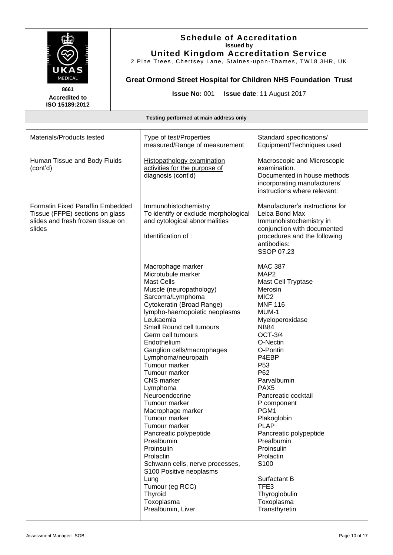

## **Schedule of Accreditation issued by United Kingdom Accreditation Service**

2 Pine Trees, Chertsey Lane, Staines -upon-Thames, TW18 3HR, UK

## **Great Ormond Street Hospital for Children NHS Foundation Trust**

**Issue No:** 001 **Issue date**: 11 August 2017

| Materials/Products tested                                                                                          | Type of test/Properties<br>measured/Range of measurement                                                                                                                                                                                                                                                                                                                                                                                                                                                                                                                                                                                                                          | Standard specifications/<br>Equipment/Techniques used                                                                                                                                                                                                                                                                                                                                                                                                                                               |
|--------------------------------------------------------------------------------------------------------------------|-----------------------------------------------------------------------------------------------------------------------------------------------------------------------------------------------------------------------------------------------------------------------------------------------------------------------------------------------------------------------------------------------------------------------------------------------------------------------------------------------------------------------------------------------------------------------------------------------------------------------------------------------------------------------------------|-----------------------------------------------------------------------------------------------------------------------------------------------------------------------------------------------------------------------------------------------------------------------------------------------------------------------------------------------------------------------------------------------------------------------------------------------------------------------------------------------------|
| Human Tissue and Body Fluids<br>(cont'd)                                                                           | <b>Histopathology examination</b><br>activities for the purpose of<br>diagnosis (cont'd)                                                                                                                                                                                                                                                                                                                                                                                                                                                                                                                                                                                          | Macroscopic and Microscopic<br>examination.<br>Documented in house methods<br>incorporating manufacturers'<br>instructions where relevant:                                                                                                                                                                                                                                                                                                                                                          |
| Formalin Fixed Paraffin Embedded<br>Tissue (FFPE) sections on glass<br>slides and fresh frozen tissue on<br>slides | Immunohistochemistry<br>To identify or exclude morphological<br>and cytological abnormalities<br>Identification of :                                                                                                                                                                                                                                                                                                                                                                                                                                                                                                                                                              | Manufacturer's instructions for<br>Leica Bond Max<br>Immunohistochemistry in<br>conjunction with documented<br>procedures and the following<br>antibodies:<br>SSOP 07.23                                                                                                                                                                                                                                                                                                                            |
|                                                                                                                    | Macrophage marker<br>Microtubule marker<br><b>Mast Cells</b><br>Muscle (neuropathology)<br>Sarcoma/Lymphoma<br>Cytokeratin (Broad Range)<br>lympho-haemopoietic neoplasms<br>Leukaemia<br>Small Round cell tumours<br>Germ cell tumours<br>Endothelium<br>Ganglion cells/macrophages<br>Lymphoma/neuropath<br>Tumour marker<br>Tumour marker<br><b>CNS</b> marker<br>Lymphoma<br>Neuroendocrine<br>Tumour marker<br>Macrophage marker<br>Tumour marker<br>Tumour marker<br>Pancreatic polypeptide<br>Prealbumin<br>Proinsulin<br>Prolactin<br>Schwann cells, nerve processes,<br>S100 Positive neoplasms<br>Lung<br>Tumour (eg RCC)<br>Thyroid<br>Toxoplasma<br>Prealbumin, Liver | <b>MAC 387</b><br>MAP <sub>2</sub><br>Mast Cell Tryptase<br>Merosin<br>MIC <sub>2</sub><br><b>MNF 116</b><br>MUM-1<br>Myeloperoxidase<br><b>NB84</b><br><b>OCT-3/4</b><br>O-Nectin<br>O-Pontin<br>P4EBP<br>P <sub>53</sub><br>P62<br>Parvalbumin<br>PAX <sub>5</sub><br>Pancreatic cocktail<br>P component<br>PGM1<br>Plakoglobin<br><b>PLAP</b><br>Pancreatic polypeptide<br>Prealbumin<br>Proinsulin<br>Prolactin<br>S100<br>Surfactant B<br>TFE3<br>Thyroglobulin<br>Toxoplasma<br>Transthyretin |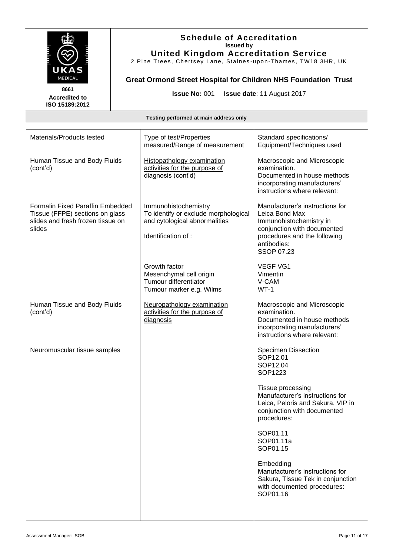

## **Schedule of Accreditation issued by United Kingdom Accreditation Service**

2 Pine Trees, Chertsey Lane, Staines -upon-Thames, TW18 3HR, UK

**Great Ormond Street Hospital for Children NHS Foundation Trust**

**Issue No:** 001 **Issue date**: 11 August 2017

| Materials/Products tested                                                                                          | Type of test/Properties<br>measured/Range of measurement                                                             | Standard specifications/<br>Equipment/Techniques used                                                                                                                           |
|--------------------------------------------------------------------------------------------------------------------|----------------------------------------------------------------------------------------------------------------------|---------------------------------------------------------------------------------------------------------------------------------------------------------------------------------|
| Human Tissue and Body Fluids<br>(cont'd)                                                                           | <b>Histopathology examination</b><br>activities for the purpose of<br>diagnosis (cont'd)                             | Macroscopic and Microscopic<br>examination.<br>Documented in house methods<br>incorporating manufacturers'<br>instructions where relevant:                                      |
| Formalin Fixed Paraffin Embedded<br>Tissue (FFPE) sections on glass<br>slides and fresh frozen tissue on<br>slides | Immunohistochemistry<br>To identify or exclude morphological<br>and cytological abnormalities<br>Identification of : | Manufacturer's instructions for<br>Leica Bond Max<br>Immunohistochemistry in<br>conjunction with documented<br>procedures and the following<br>antibodies:<br><b>SSOP 07.23</b> |
|                                                                                                                    | Growth factor<br>Mesenchymal cell origin<br>Tumour differentiator<br>Tumour marker e.g. Wilms                        | <b>VEGF VG1</b><br>Vimentin<br>V-CAM<br>$WT-1$                                                                                                                                  |
| Human Tissue and Body Fluids<br>(cont'd)                                                                           | Neuropathology examination<br>activities for the purpose of<br>diagnosis                                             | Macroscopic and Microscopic<br>examination.<br>Documented in house methods<br>incorporating manufacturers'<br>instructions where relevant:                                      |
| Neuromuscular tissue samples                                                                                       |                                                                                                                      | <b>Specimen Dissection</b><br>SOP12.01<br>SOP12.04<br>SOP1223                                                                                                                   |
|                                                                                                                    |                                                                                                                      | Tissue processing<br>Manufacturer's instructions for<br>Leica, Peloris and Sakura, VIP in<br>conjunction with documented<br>procedures:                                         |
|                                                                                                                    |                                                                                                                      | SOP01.11<br>SOP01.11a<br>SOP01.15                                                                                                                                               |
|                                                                                                                    |                                                                                                                      | Embedding<br>Manufacturer's instructions for<br>Sakura, Tissue Tek in conjunction<br>with documented procedures:<br>SOP01.16                                                    |
|                                                                                                                    |                                                                                                                      |                                                                                                                                                                                 |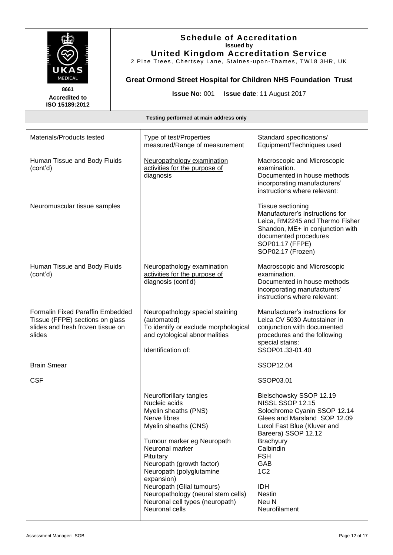

2 Pine Trees, Chertsey Lane, Staines -upon-Thames, TW18 3HR, UK

## **Great Ormond Street Hospital for Children NHS Foundation Trust**

**Issue No:** 001 **Issue date**: 11 August 2017

**8661 Accredited to ISO 15189:2012** 

| Materials/Products tested                                                                                          | Type of test/Properties<br>measured/Range of measurement                                                                                                                                                                                                                                                                                                              | Standard specifications/<br>Equipment/Techniques used                                                                                                                                                                                                                                                      |
|--------------------------------------------------------------------------------------------------------------------|-----------------------------------------------------------------------------------------------------------------------------------------------------------------------------------------------------------------------------------------------------------------------------------------------------------------------------------------------------------------------|------------------------------------------------------------------------------------------------------------------------------------------------------------------------------------------------------------------------------------------------------------------------------------------------------------|
| Human Tissue and Body Fluids<br>(cont'd)                                                                           | Neuropathology examination<br>activities for the purpose of<br>diagnosis                                                                                                                                                                                                                                                                                              | Macroscopic and Microscopic<br>examination.<br>Documented in house methods<br>incorporating manufacturers'<br>instructions where relevant:                                                                                                                                                                 |
| Neuromuscular tissue samples                                                                                       |                                                                                                                                                                                                                                                                                                                                                                       | <b>Tissue sectioning</b><br>Manufacturer's instructions for<br>Leica, RM2245 and Thermo Fisher<br>Shandon, ME+ in conjunction with<br>documented procedures<br>SOP01.17 (FFPE)<br>SOP02.17 (Frozen)                                                                                                        |
| Human Tissue and Body Fluids<br>(cont'd)                                                                           | Neuropathology examination<br>activities for the purpose of<br>diagnosis (cont'd)                                                                                                                                                                                                                                                                                     | Macroscopic and Microscopic<br>examination.<br>Documented in house methods<br>incorporating manufacturers'<br>instructions where relevant:                                                                                                                                                                 |
| Formalin Fixed Paraffin Embedded<br>Tissue (FFPE) sections on glass<br>slides and fresh frozen tissue on<br>slides | Neuropathology special staining<br>(automated)<br>To identify or exclude morphological<br>and cytological abnormalities<br>Identification of:                                                                                                                                                                                                                         | Manufacturer's instructions for<br>Leica CV 5030 Autostainer in<br>conjunction with documented<br>procedures and the following<br>special stains:<br>SSOP01.33-01.40                                                                                                                                       |
| <b>Brain Smear</b>                                                                                                 |                                                                                                                                                                                                                                                                                                                                                                       | SSOP12.04                                                                                                                                                                                                                                                                                                  |
| <b>CSF</b>                                                                                                         |                                                                                                                                                                                                                                                                                                                                                                       | SSOP03.01                                                                                                                                                                                                                                                                                                  |
|                                                                                                                    | Neurofibrillary tangles<br>Nucleic acids<br>Myelin sheaths (PNS)<br>Nerve fibres<br>Myelin sheaths (CNS)<br>Tumour marker eg Neuropath<br>Neuronal marker<br>Pituitary<br>Neuropath (growth factor)<br>Neuropath (polyglutamine<br>expansion)<br>Neuropath (Glial tumours)<br>Neuropathology (neural stem cells)<br>Neuronal cell types (neuropath)<br>Neuronal cells | Bielschowsky SSOP 12.19<br><b>NISSL SSOP 12.15</b><br>Solochrome Cyanin SSOP 12.14<br>Glees and Marsland SOP 12.09<br>Luxol Fast Blue (Kluver and<br>Bareera) SSOP 12.12<br><b>Brachyury</b><br>Calbindin<br><b>FSH</b><br>GAB<br>1C <sub>2</sub><br><b>IDH</b><br><b>Nestin</b><br>Neu N<br>Neurofilament |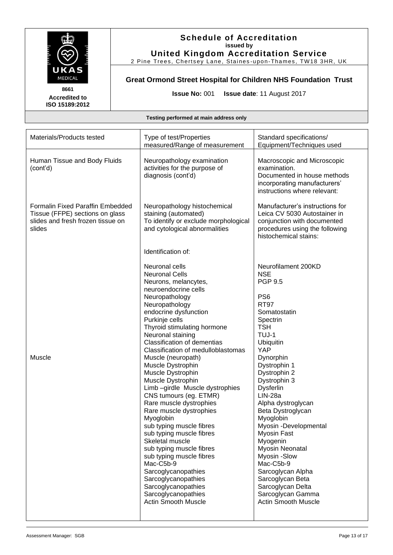

2 Pine Trees, Chertsey Lane, Staines -upon-Thames, TW18 3HR, UK

**Great Ormond Street Hospital for Children NHS Foundation Trust**

**Issue No:** 001 **Issue date**: 11 August 2017

**Accredited to ISO 15189:2012** 

| Human Tissue and Body Fluids<br>Neuropathology examination<br>Macroscopic and Microscopic<br>activities for the purpose of<br>examination.<br>(cont'd)<br>diagnosis (cont'd)<br>Documented in house methods<br>incorporating manufacturers'<br>instructions where relevant:<br>Formalin Fixed Paraffin Embedded<br>Manufacturer's instructions for<br>Neuropathology histochemical<br>Tissue (FFPE) sections on glass<br>staining (automated)<br>Leica CV 5030 Autostainer in<br>To identify or exclude morphological<br>slides and fresh frozen tissue on<br>conjunction with documented<br>and cytological abnormalities<br>slides<br>procedures using the following<br>histochemical stains:<br>Identification of:<br>Neurofilament 200KD<br>Neuronal cells<br><b>NSE</b><br><b>Neuronal Cells</b><br><b>PGP 9.5</b><br>Neurons, melancytes,<br>neuroendocrine cells<br>Neuropathology<br>PS <sub>6</sub><br>Neuropathology<br><b>RT97</b><br>endocrine dysfunction<br>Somatostatin<br>Purkinje cells<br>Spectrin<br>Thyroid stimulating hormone<br><b>TSH</b><br>Neuronal staining<br>TUJ-1<br><b>Classification of dementias</b><br>Ubiquitin<br><b>YAP</b><br>Classification of medulloblastomas<br>Muscle<br>Muscle (neuropath)<br>Dynorphin | Materials/Products tested | Type of test/Properties<br>measured/Range of measurement | Standard specifications/<br>Equipment/Techniques used |
|-----------------------------------------------------------------------------------------------------------------------------------------------------------------------------------------------------------------------------------------------------------------------------------------------------------------------------------------------------------------------------------------------------------------------------------------------------------------------------------------------------------------------------------------------------------------------------------------------------------------------------------------------------------------------------------------------------------------------------------------------------------------------------------------------------------------------------------------------------------------------------------------------------------------------------------------------------------------------------------------------------------------------------------------------------------------------------------------------------------------------------------------------------------------------------------------------------------------------------------------------------|---------------------------|----------------------------------------------------------|-------------------------------------------------------|
|                                                                                                                                                                                                                                                                                                                                                                                                                                                                                                                                                                                                                                                                                                                                                                                                                                                                                                                                                                                                                                                                                                                                                                                                                                                     |                           |                                                          |                                                       |
|                                                                                                                                                                                                                                                                                                                                                                                                                                                                                                                                                                                                                                                                                                                                                                                                                                                                                                                                                                                                                                                                                                                                                                                                                                                     |                           |                                                          |                                                       |
|                                                                                                                                                                                                                                                                                                                                                                                                                                                                                                                                                                                                                                                                                                                                                                                                                                                                                                                                                                                                                                                                                                                                                                                                                                                     |                           |                                                          |                                                       |
| Muscle Dystrophin<br>Dystrophin 2<br>Muscle Dystrophin<br>Dystrophin 3<br>Limb-girdle Muscle dystrophies<br><b>Dysferlin</b><br>CNS tumours (eg. ETMR)<br>$LIN-28a$<br>Rare muscle dystrophies<br>Alpha dystroglycan<br>Rare muscle dystrophies<br>Beta Dystroglycan<br>Myoglobin<br>Myoglobin<br>sub typing muscle fibres<br>Myosin -Developmental<br>sub typing muscle fibres<br><b>Myosin Fast</b><br>Skeletal muscle<br>Myogenin<br>sub typing muscle fibres<br>Myosin Neonatal<br>sub typing muscle fibres<br>Myosin -Slow<br>Mac-C5b-9<br>Mac-C5b-9<br>Sarcoglycanopathies<br>Sarcoglycan Alpha<br>Sarcoglycanopathies<br>Sarcoglycan Beta<br>Sarcoglycanopathies<br>Sarcoglycan Delta<br>Sarcoglycanopathies<br>Sarcoglycan Gamma<br>Actin Smooth Muscle<br><b>Actin Smooth Muscle</b>                                                                                                                                                                                                                                                                                                                                                                                                                                                       |                           | Muscle Dystrophin                                        | Dystrophin 1                                          |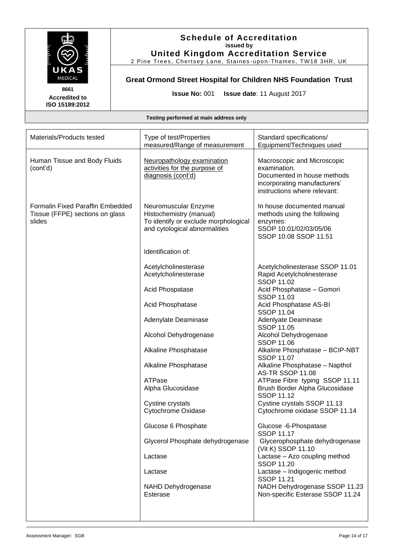

## **Schedule of Accreditation issued by United Kingdom Accreditation Service**

2 Pine Trees, Chertsey Lane, Staines -upon-Thames, TW18 3HR, UK

## **Great Ormond Street Hospital for Children NHS Foundation Trust**

**Issue No:** 001 **Issue date**: 11 August 2017

| Materials/Products tested                                                            | Type of test/Properties<br>measured/Range of measurement                                                                 | Standard specifications/<br>Equipment/Techniques used                                                                                      |
|--------------------------------------------------------------------------------------|--------------------------------------------------------------------------------------------------------------------------|--------------------------------------------------------------------------------------------------------------------------------------------|
| Human Tissue and Body Fluids<br>(cont'd)                                             | Neuropathology examination<br>activities for the purpose of<br>diagnosis (cont'd)                                        | Macroscopic and Microscopic<br>examination.<br>Documented in house methods<br>incorporating manufacturers'<br>instructions where relevant: |
| <b>Formalin Fixed Paraffin Embedded</b><br>Tissue (FFPE) sections on glass<br>slides | Neuromuscular Enzyme<br>Histochemistry (manual)<br>To identify or exclude morphological<br>and cytological abnormalities | In house documented manual<br>methods using the following<br>enzymes:<br>SSOP 10.01/02/03/05/06<br>SSOP 10.08 SSOP 11.51                   |
|                                                                                      | Identification of:                                                                                                       |                                                                                                                                            |
|                                                                                      | Acetylcholinesterase<br>Acetylcholinesterase                                                                             | Acetylcholinesterase SSOP 11.01<br>Rapid Acetylcholinesterase<br><b>SSOP 11.02</b>                                                         |
|                                                                                      | Acid Phospatase                                                                                                          | Acid Phosphatase - Gomori<br><b>SSOP 11.03</b>                                                                                             |
|                                                                                      | Acid Phosphatase                                                                                                         | Acid Phosphatase AS-BI<br><b>SSOP 11.04</b>                                                                                                |
|                                                                                      | Adenylate Deaminase                                                                                                      | Adenlyate Deaminase<br><b>SSOP 11.05</b>                                                                                                   |
|                                                                                      | Alcohol Dehydrogenase                                                                                                    | Alcohol Dehydrogenase<br><b>SSOP 11.06</b>                                                                                                 |
|                                                                                      | Alkaline Phosphatase                                                                                                     | Alkaline Phosphatase - BCIP-NBT<br><b>SSOP 11.07</b>                                                                                       |
|                                                                                      | Alkaline Phosphatase                                                                                                     | Alkaline Phosphatase - Napthol<br><b>AS-TR SSOP 11.08</b>                                                                                  |
|                                                                                      | ATPase<br>Alpha Glucosidase                                                                                              | ATPase Fibre typing SSOP 11.11<br>Brush Border Alpha Glucosidase<br><b>SSOP 11.12</b>                                                      |
|                                                                                      | Cystine crystals<br>Cytochrome Oxidase                                                                                   | Cystine crystals SSOP 11.13<br>Cytochrome oxidase SSOP 11.14                                                                               |
|                                                                                      | Glucose 6 Phosphate                                                                                                      | Glucose -6-Phospatase                                                                                                                      |
|                                                                                      |                                                                                                                          | <b>SSOP 11.17</b>                                                                                                                          |
|                                                                                      | Glycerol Phosphate dehydrogenase                                                                                         | Glycerophosphate dehydrogenase<br>(Vit K) SSOP 11.10                                                                                       |
|                                                                                      | Lactase                                                                                                                  | Lactase - Azo coupling method<br><b>SSOP 11.20</b>                                                                                         |
|                                                                                      | Lactase                                                                                                                  | Lactase - Indigogenic method<br><b>SSOP 11.21</b>                                                                                          |
|                                                                                      | NAHD Dehydrogenase<br>Esterase                                                                                           | NADH Dehydrogenase SSOP 11.23<br>Non-specific Esterase SSOP 11.24                                                                          |
|                                                                                      |                                                                                                                          |                                                                                                                                            |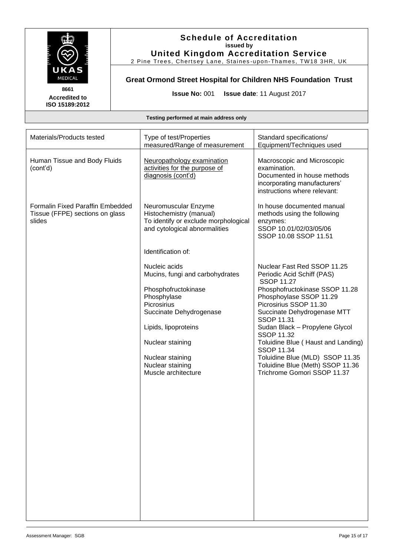

## **Schedule of Accreditation issued by United Kingdom Accreditation Service**

2 Pine Trees, Chertsey Lane, Staines -upon-Thames, TW18 3HR, UK

**Great Ormond Street Hospital for Children NHS Foundation Trust**

**Issue No:** 001 **Issue date**: 11 August 2017

| Materials/Products tested                                                            | Type of test/Properties<br>measured/Range of measurement                                                                 | Standard specifications/<br>Equipment/Techniques used                                                                                      |
|--------------------------------------------------------------------------------------|--------------------------------------------------------------------------------------------------------------------------|--------------------------------------------------------------------------------------------------------------------------------------------|
| Human Tissue and Body Fluids<br>(cont'd)                                             | Neuropathology examination<br>activities for the purpose of<br>diagnosis (cont'd)                                        | Macroscopic and Microscopic<br>examination.<br>Documented in house methods<br>incorporating manufacturers'<br>instructions where relevant: |
| <b>Formalin Fixed Paraffin Embedded</b><br>Tissue (FFPE) sections on glass<br>slides | Neuromuscular Enzyme<br>Histochemistry (manual)<br>To identify or exclude morphological<br>and cytological abnormalities | In house documented manual<br>methods using the following<br>enzymes:<br>SSOP 10.01/02/03/05/06<br>SSOP 10.08 SSOP 11.51                   |
|                                                                                      | Identification of:                                                                                                       |                                                                                                                                            |
|                                                                                      | Nucleic acids<br>Mucins, fungi and carbohydrates                                                                         | Nuclear Fast Red SSOP 11.25<br>Periodic Acid Schiff (PAS)<br><b>SSOP 11.27</b>                                                             |
|                                                                                      | Phosphofructokinase<br>Phosphylase<br>Picrosirius<br>Succinate Dehydrogenase                                             | Phosphofructokinase SSOP 11.28<br>Phosphoylase SSOP 11.29<br>Picrosirius SSOP 11.30<br>Succinate Dehydrogenase MTT<br>SSOP 11.31           |
|                                                                                      | Lipids, lipoproteins<br>Nuclear staining                                                                                 | Sudan Black - Propylene Glycol<br>SSOP 11.32<br>Toluidine Blue (Haust and Landing)                                                         |
|                                                                                      | Nuclear staining<br>Nuclear staining<br>Muscle architecture                                                              | <b>SSOP 11.34</b><br>Toluidine Blue (MLD) SSOP 11.35<br>Toluidine Blue (Meth) SSOP 11.36<br>Trichrome Gomori SSOP 11.37                    |
|                                                                                      |                                                                                                                          |                                                                                                                                            |
|                                                                                      |                                                                                                                          |                                                                                                                                            |
|                                                                                      |                                                                                                                          |                                                                                                                                            |
|                                                                                      |                                                                                                                          |                                                                                                                                            |
|                                                                                      |                                                                                                                          |                                                                                                                                            |
|                                                                                      |                                                                                                                          |                                                                                                                                            |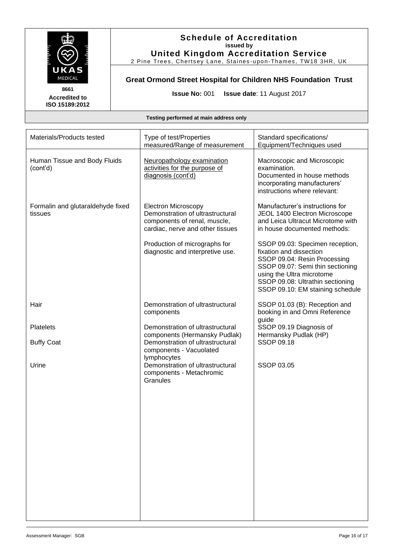

2 Pine Trees, Chertsey Lane, Staines -upon-Thames, TW18 3HR, UK

## **Great Ormond Street Hospital for Children NHS Foundation Trust**

**Issue No:** 001 **Issue date**: 11 August 2017

**8661 Accredited to ISO 15189:2012** 

| Materials/Products tested                    | Type of test/Properties<br>measured/Range of measurement                                                                                                                                                | Standard specifications/<br>Equipment/Techniques used                                                                                                                                               |
|----------------------------------------------|---------------------------------------------------------------------------------------------------------------------------------------------------------------------------------------------------------|-----------------------------------------------------------------------------------------------------------------------------------------------------------------------------------------------------|
| Human Tissue and Body Fluids<br>(cont'd)     | Neuropathology examination<br>activities for the purpose of<br>diagnosis (cont'd)                                                                                                                       | Macroscopic and Microscopic<br>examination.<br>Documented in house methods<br>incorporating manufacturers'<br>instructions where relevant:                                                          |
| Formalin and glutaraldehyde fixed<br>tissues | <b>Electron Microscopy</b><br>Demonstration of ultrastructural<br>components of renal, muscle,<br>cardiac, nerve and other tissues<br>Production of micrographs for<br>diagnostic and interpretive use. | Manufacturer's instructions for<br>JEOL 1400 Electron Microscope<br>and Leica Ultracut Microtome with<br>in house documented methods:<br>SSOP 09.03: Specimen reception,<br>fixation and dissection |
|                                              |                                                                                                                                                                                                         | SSOP 09.04: Resin Processing<br>SSOP 09.07: Semi thin sectioning<br>using the Ultra microtome<br>SSOP 09.08: Ultrathin sectioning<br>SSOP 09.10: EM staining schedule                               |
| Hair                                         | Demonstration of ultrastructural<br>components                                                                                                                                                          | SSOP 01.03 (B): Reception and<br>booking in and Omni Reference<br>guide                                                                                                                             |
| <b>Platelets</b>                             | Demonstration of ultrastructural<br>components (Hermansky Pudlak)                                                                                                                                       | SSOP 09.19 Diagnosis of<br>Hermansky Pudlak (HP)                                                                                                                                                    |
| <b>Buffy Coat</b><br>Urine                   | Demonstration of ultrastructural<br>components - Vacuolated<br>lymphocytes<br>Demonstration of ultrastructural<br>components - Metachromic<br>Granules                                                  | <b>SSOP 09.18</b><br>SSOP 03.05                                                                                                                                                                     |
|                                              |                                                                                                                                                                                                         |                                                                                                                                                                                                     |
|                                              |                                                                                                                                                                                                         |                                                                                                                                                                                                     |
|                                              |                                                                                                                                                                                                         |                                                                                                                                                                                                     |
|                                              |                                                                                                                                                                                                         |                                                                                                                                                                                                     |
|                                              |                                                                                                                                                                                                         |                                                                                                                                                                                                     |